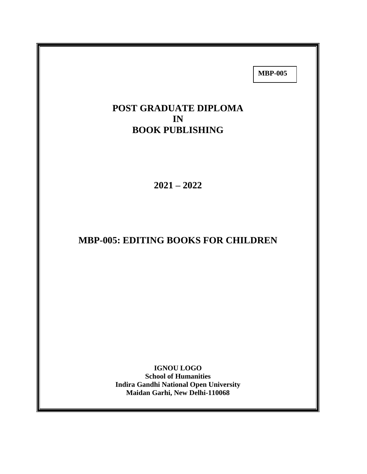**MBP-005**

# **POST GRADUATE DIPLOMA IN BOOK PUBLISHING**

**2021 – 2022**

# **MBP-005: EDITING BOOKS FOR CHILDREN**

**IGNOU LOGO School of Humanities Indira Gandhi National Open University Maidan Garhi, New Delhi-110068**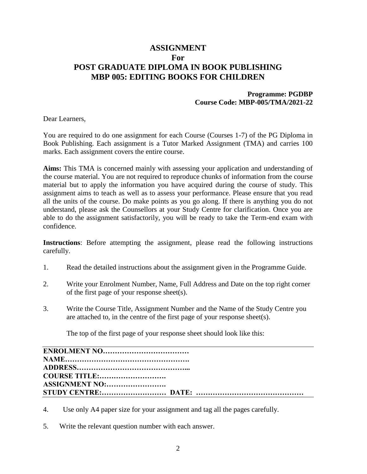## **ASSIGNMENT For POST GRADUATE DIPLOMA IN BOOK PUBLISHING MBP 005: EDITING BOOKS FOR CHILDREN**

### **Programme: PGDBP Course Code: MBP-005/TMA/2021-22**

Dear Learners,

You are required to do one assignment for each Course (Courses 1-7) of the PG Diploma in Book Publishing. Each assignment is a Tutor Marked Assignment (TMA) and carries 100 marks. Each assignment covers the entire course.

**Aims:** This TMA is concerned mainly with assessing your application and understanding of the course material. You are not required to reproduce chunks of information from the course material but to apply the information you have acquired during the course of study. This assignment aims to teach as well as to assess your performance. Please ensure that you read all the units of the course. Do make points as you go along. If there is anything you do not understand, please ask the Counsellors at your Study Centre for clarification. Once you are able to do the assignment satisfactorily, you will be ready to take the Term-end exam with confidence.

**Instructions**: Before attempting the assignment, please read the following instructions carefully.

- 1. Read the detailed instructions about the assignment given in the Programme Guide.
- 2. Write your Enrolment Number, Name, Full Address and Date on the top right corner of the first page of your response sheet(s).
- 3. Write the Course Title, Assignment Number and the Name of the Study Centre you are attached to, in the centre of the first page of your response sheet(s).

The top of the first page of your response sheet should look like this:

| ASSIGNMENT NO: |
|----------------|
|                |

- 4. Use only A4 paper size for your assignment and tag all the pages carefully.
- 5. Write the relevant question number with each answer.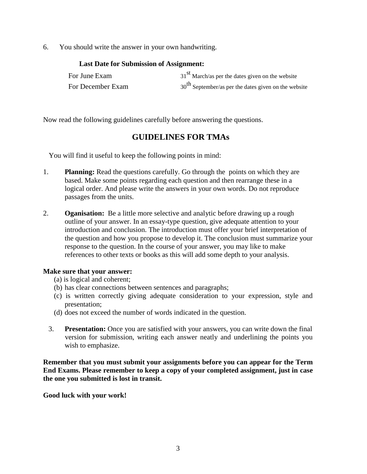6. You should write the answer in your own handwriting.

| <b>Last Date for Submission of Assignment:</b> |                                                        |
|------------------------------------------------|--------------------------------------------------------|
| For June Exam                                  | $31st$ March/as per the dates given on the website     |
| For December Exam                              | $30th$ September/as per the dates given on the website |

Now read the following guidelines carefully before answering the questions.

## **GUIDELINES FOR TMAs**

You will find it useful to keep the following points in mind:

- 1. **Planning:** Read the questions carefully. Go through the points on which they are based. Make some points regarding each question and then rearrange these in a logical order. And please write the answers in your own words. Do not reproduce passages from the units.
- 2. **Oganisation:** Be a little more selective and analytic before drawing up a rough outline of your answer. In an essay-type question, give adequate attention to your introduction and conclusion. The introduction must offer your brief interpretation of the question and how you propose to develop it. The conclusion must summarize your response to the question. In the course of your answer, you may like to make references to other texts or books as this will add some depth to your analysis.

#### **Make sure that your answer:**

- (a) is logical and coherent;
- (b) has clear connections between sentences and paragraphs;
- (c) is written correctly giving adequate consideration to your expression, style and presentation;
- (d) does not exceed the number of words indicated in the question.
- 3. **Presentation:** Once you are satisfied with your answers, you can write down the final version for submission, writing each answer neatly and underlining the points you wish to emphasize.

**Remember that you must submit your assignments before you can appear for the Term End Exams. Please remember to keep a copy of your completed assignment, just in case the one you submitted is lost in transit.**

**Good luck with your work!**